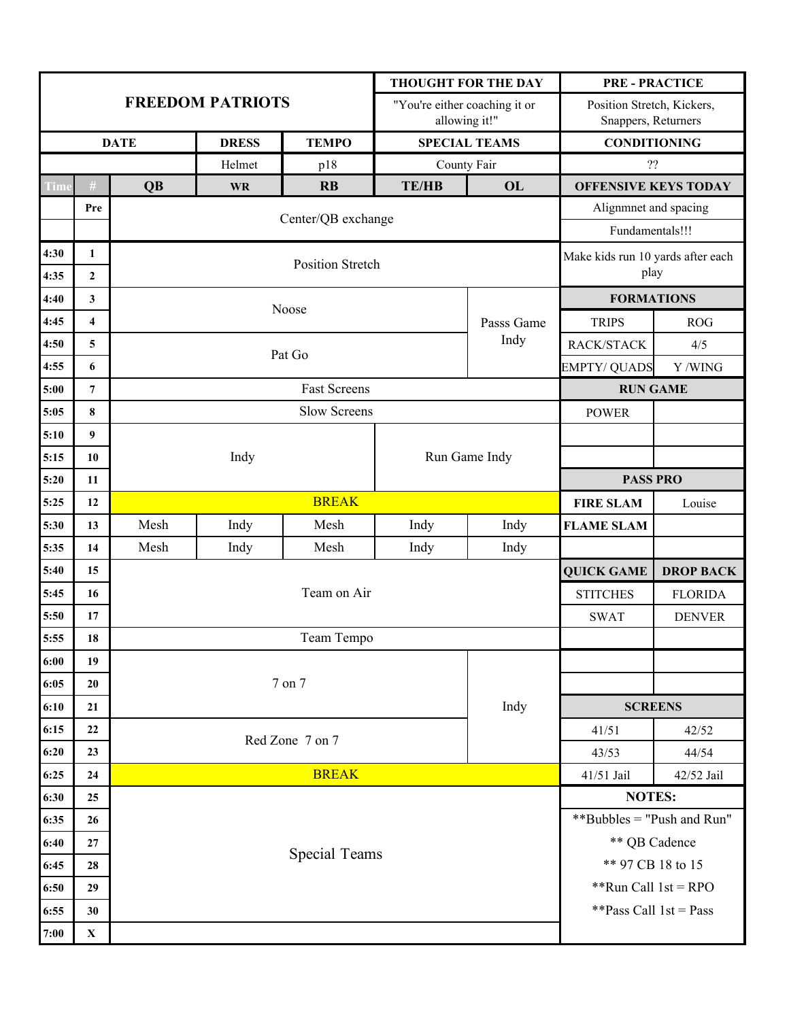|              |                                |             |                         |                                           | <b>THOUGHT FOR THE DAY</b>                     |                   | <b>PRE - PRACTICE</b>                             |            |  |  |
|--------------|--------------------------------|-------------|-------------------------|-------------------------------------------|------------------------------------------------|-------------------|---------------------------------------------------|------------|--|--|
|              |                                |             | <b>FREEDOM PATRIOTS</b> |                                           | "You're either coaching it or<br>allowing it!" |                   | Position Stretch, Kickers,<br>Snappers, Returners |            |  |  |
|              |                                | <b>DATE</b> | <b>DRESS</b>            | <b>TEMPO</b>                              | <b>SPECIAL TEAMS</b>                           |                   | <b>CONDITIONING</b>                               |            |  |  |
|              |                                |             | Helmet                  | p18                                       | County Fair                                    |                   | ??                                                |            |  |  |
| Time         | $\#$                           | <b>QB</b>   | <b>WR</b>               | $\mathbf{R}$                              | <b>TE/HB</b>                                   | OL                | <b>OFFENSIVE KEYS TODAY</b>                       |            |  |  |
|              | Pre                            |             |                         | Center/QB exchange                        |                                                |                   | Alignmnet and spacing                             |            |  |  |
|              |                                |             |                         |                                           |                                                | Fundamentals!!!   |                                                   |            |  |  |
| 4:30<br>4:35 | $\mathbf{1}$<br>$\overline{2}$ |             |                         | Make kids run 10 yards after each<br>play |                                                |                   |                                                   |            |  |  |
| 4:40         | $\mathbf{3}$                   |             |                         |                                           |                                                |                   | <b>FORMATIONS</b>                                 |            |  |  |
| 4:45         | $\overline{\mathbf{4}}$        |             |                         | Noose                                     |                                                | Passs Game        | <b>TRIPS</b>                                      | <b>ROG</b> |  |  |
| 4:50         | 5                              |             |                         |                                           |                                                | Indy              | RACK/STACK                                        | 4/5        |  |  |
| 4:55         | 6                              |             |                         | Pat Go                                    |                                                |                   | <b>EMPTY/ QUADS</b>                               | Y /WING    |  |  |
| 5:00         | $\overline{7}$                 |             |                         |                                           | <b>RUN GAME</b>                                |                   |                                                   |            |  |  |
| 5:05         | 8                              |             |                         | <b>POWER</b>                              |                                                |                   |                                                   |            |  |  |
| 5:10         | $\boldsymbol{9}$               |             |                         |                                           |                                                |                   |                                                   |            |  |  |
| 5:15         | 10                             |             | Indy                    |                                           |                                                | Run Game Indy     |                                                   |            |  |  |
| 5:20         | 11                             |             |                         |                                           |                                                |                   | <b>PASS PRO</b>                                   |            |  |  |
| 5:25         | 12                             |             |                         | <b>BREAK</b>                              |                                                |                   | <b>FIRE SLAM</b>                                  | Louise     |  |  |
| 5:30         | 13                             | Mesh        | Indy                    | Mesh                                      | Indy                                           | Indy              | <b>FLAME SLAM</b>                                 |            |  |  |
| 5:35         | 14                             | Mesh        | Indy                    | Mesh                                      | Indy                                           | Indy              |                                                   |            |  |  |
| 5:40         | 15                             |             |                         |                                           |                                                | <b>QUICK GAME</b> | <b>DROP BACK</b>                                  |            |  |  |
| 5:45         | 16                             |             |                         | <b>STITCHES</b>                           | <b>FLORIDA</b>                                 |                   |                                                   |            |  |  |
| 5:50         | 17                             |             |                         |                                           | <b>SWAT</b>                                    | <b>DENVER</b>     |                                                   |            |  |  |
| 5:55         | 18                             |             |                         |                                           |                                                |                   |                                                   |            |  |  |
| 6:00         | 19                             |             |                         |                                           |                                                |                   |                                                   |            |  |  |
| 6:05         | 20                             |             |                         | 7 on 7                                    |                                                |                   |                                                   |            |  |  |
| 6:10         | 21                             |             |                         | Indy                                      | <b>SCREENS</b>                                 |                   |                                                   |            |  |  |
| 6:15         | 22                             |             |                         | Red Zone 7 on 7                           |                                                |                   | 41/51                                             | 42/52      |  |  |
| 6:20         | 23                             |             |                         |                                           |                                                |                   | 43/53                                             | 44/54      |  |  |
| 6:25         | 24                             |             |                         |                                           | 41/51 Jail                                     | 42/52 Jail        |                                                   |            |  |  |
| 6:30         | 25                             |             |                         | <b>NOTES:</b>                             |                                                |                   |                                                   |            |  |  |
| 6:35         | 26                             |             |                         | **Bubbles = "Push and Run"                |                                                |                   |                                                   |            |  |  |
| 6:40         | 27                             |             |                         | ** QB Cadence                             |                                                |                   |                                                   |            |  |  |
| 6:45         | 28                             |             |                         | ** 97 CB 18 to 15                         |                                                |                   |                                                   |            |  |  |
| 6:50         | 29                             |             |                         | **Run Call $1st = RPO$                    |                                                |                   |                                                   |            |  |  |
| 6:55         | 30                             |             |                         | **Pass Call $1st = Pass$                  |                                                |                   |                                                   |            |  |  |
| $7:00$       | $\mathbf X$                    |             |                         |                                           |                                                |                   |                                                   |            |  |  |